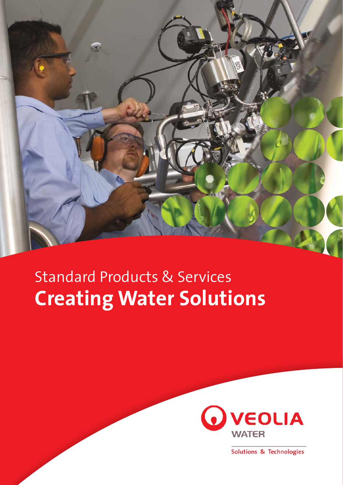

# Standard Products & Services **Creating Water Solutions**



Solutions & Technologies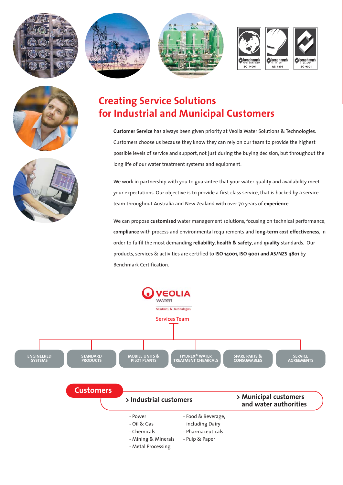











# **Creating Service Solutions for Industrial and Municipal Customers**

**Customer Service** has always been given priority at Veolia Water Solutions & Technologies. Customers choose us because they know they can rely on our team to provide the highest possible levels of service and support, not just during the buying decision, but throughout the long life of our water treatment systems and equipment.

We work in partnership with you to guarantee that your water quality and availability meet your expectations. Our objective is to provide a first class service, that is backed by a service team throughout Australia and New Zealand with over 70 years of **experience**.

We can propose **customised** water management solutions, focusing on technical performance, **compliance** with process and environmental requirements and **long-term cost effectiveness**, in order to fulfil the most demanding **reliability, health & safety**, and **quality** standards. Our products, services & activities are certified to **ISO 14001, ISO 9001 and AS/NZS 4801** by Benchmark Certification.

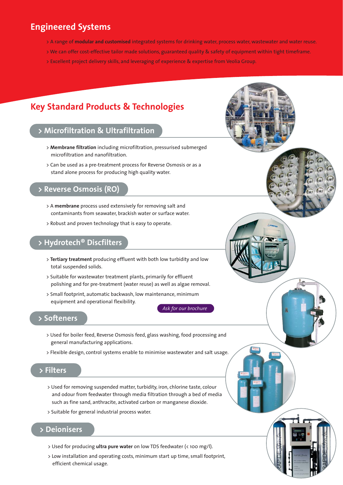### **Engineered Systems**

- > A range of **modular and customised** integrated systems for drinking water, process water, wastewater and water reuse.
- > We can offer cost-effective tailor made solutions, guaranteed quality & safety of equipment within tight timeframe.
- > Excellent project delivery skills, and leveraging of experience & expertise from Veolia Group.

## **Key Standard Products & Technologies**

### **> Microfiltration & Ultrafiltration**

- > **Membrane filtration** including microfiltration, pressurised submerged microfiltration and nanofiltration.
- > Can be used as a pre-treatment process for Reverse Osmosis or as a stand alone process for producing high quality water.

### **> Reverse Osmosis (RO)**

- > A **membrane** process used extensively for removing salt and contaminants from seawater, brackish water or surface water.
- > Robust and proven technology that is easy to operate.

### **> Hydrotech® Discfilters**

- > **Tertiary treatment** producing effluent with both low turbidity and low total suspended solids.
- > Suitable for wastewater treatment plants, primarily for effluent polishing and for pre-treatment (water reuse) as well as algae removal.
- > Small footprint, automatic backwash, low maintenance, minimum equipment and operational flexibility.

*Ask for our brochure*

#### **> Softeners**

- > Used for boiler feed, Reverse Osmosis feed, glass washing, food processing and general manufacturing applications.
- > Flexible design, control systems enable to minimise wastewater and salt usage.

### **> Filters**

- > Used for removing suspended matter, turbidity, iron, chlorine taste, colour and odour from feedwater through media filtration through a bed of media such as fine sand, anthracite, activated carbon or manganese dioxide.
- > Suitable for general industrial process water.

#### **> Deionisers**

- > Used for producing **ultra pure water** on low TDS feedwater (< 100 mg/l).
- > Low installation and operating costs, minimum start up time, small footprint, efficient chemical usage.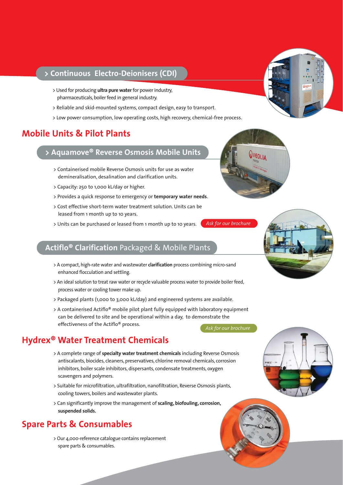### **> Continuous Electro-Deionisers (CDI)**

- > Used for producing **ultra pure water** for power industry, pharmaceuticals, boiler feed in general industry.
- > Reliable and skid-mounted systems, compact design, easy to transport.
- > Low power consumption, low operating costs, high recovery, chemical-free process.

### **Mobile Units & Pilot Plants**

### **> Aquamove® Reverse Osmosis Mobile Units**

- > Containerised mobile Reverse Osmosis units for use as water demineralisation, desalination and clarification units.
- > Capacity: 250 to 1,000 kL/day or higher.
- > Provides a quick response to emergency or **temporary water needs**.
- > Cost effective short-term water treatment solution. Units can be leased from 1 month up to 10 years.
- > Units can be purchased or leased from 1 month up to 10 years.

### **Actiflo® Clarification** Packaged & Mobile Plants

- > A compact, high-rate water and wastewater **clarification** process combining micro-sand enhanced flocculation and settling.
- > An ideal solution to treat raw water or recycle valuable process water to provide boiler feed, process water or cooling tower make up.
- > Packaged plants (1,000 to 3,000 kL/day) and engineered systems are available.
- > A containerised Actiflo® mobile pilot plant fully equipped with laboratory equipment can be delivered to site and be operational within a day, to demonstrate the effectiveness of the Actiflo® process. *Ask for our brochure*

### **Hydrex® Water Treatment Chemicals**

- > A complete range of **specialty water treatment chemicals** including Reverse Osmosis antiscalants, biocides, cleaners, preservatives, chlorine removal chemicals, corrosion inhibitors, boiler scale inhibitors, dispersants, condensate treatments, oxygen scavengers and polymers.
- > Suitable for microfiltration, ultrafiltration, nanofiltration, Reverse Osmosis plants, cooling towers, boilers and wastewater plants.
- > Can significantly improve the management of **scaling, biofouling, corrosion, suspended solids.**

## **Spare Parts & Consumables**

> Our 4,000-reference catalogue contains replacement spare parts & consumables.







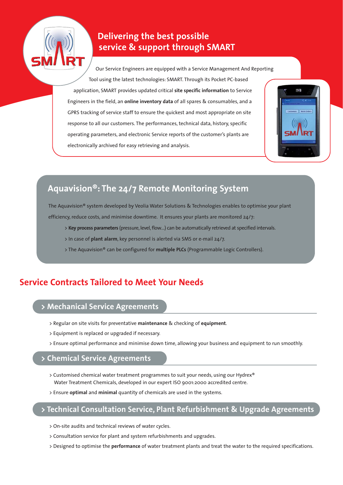

## **Delivering the best possible service & support through SMART**

Our Service Engineers are equipped with a Service Management And Reporting Tool using the latest technologies: SMART. Through its Pocket PC-based application, SMART provides updated critical **site specific information** to Service Engineers in the field, an **online inventory data** of all spares & consumables, and a GPRS tracking of service staff to ensure the quickest and most appropriate on site response to all our customers. The performances, technical data, history, specific operating parameters, and electronic Service reports of the customer's plants are electronically archived for easy retrieving and analysis.



# **Aquavision®: The 24/7 Remote Monitoring System**

The Aquavision® system developed by Veolia Water Solutions & Technologies enables to optimise your plant

efficiency, reduce costs, and minimise downtime. It ensures your plants are monitored 24/7:

- > **Key process parameters** (pressure, level, flow…) can be automatically retrieved at specified intervals.
- > In case of **plant alarm**, key personnel is alerted via SMS or e-mail 24/7.
- > The Aquavision® can be configured for **multiple PLCs** (Programmable Logic Controllers).

## **Service Contracts Tailored to Meet Your Needs**

### **> Mechanical Service Agreements**

- > Regular on site visits for preventative **maintenance** & checking of **equipment**.
- > Equipment is replaced or upgraded if necessary.
- > Ensure optimal performance and minimise down time, allowing your business and equipment to run smoothly.

#### **> Chemical Service Agreements**

- > Customised chemical water treatment programmes to suit your needs, using our Hydrex® Water Treatment Chemicals, developed in our expert ISO 9001:2000 accredited centre.
- > Ensure **optimal** and **minimal** quantity of chemicals are used in the systems.

### **> Technical Consultation Service, Plant Refurbishment & Upgrade Agreements**

- > On-site audits and technical reviews of water cycles.
- > Consultation service for plant and system refurbishments and upgrades.
- > Designed to optimise the **performance** of water treatment plants and treat the water to the required specifications.